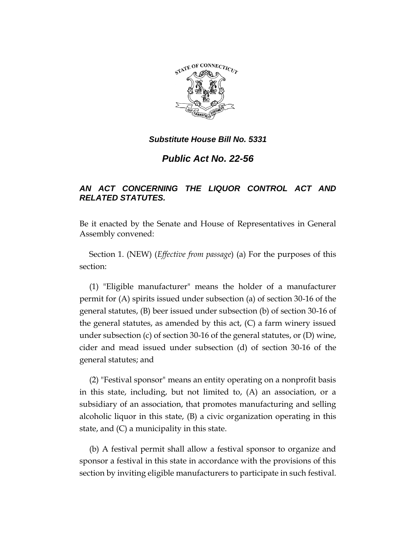

*Public Act No. 22-56*

# *AN ACT CONCERNING THE LIQUOR CONTROL ACT AND RELATED STATUTES.*

Be it enacted by the Senate and House of Representatives in General Assembly convened:

Section 1. (NEW) (*Effective from passage*) (a) For the purposes of this section:

(1) "Eligible manufacturer" means the holder of a manufacturer permit for (A) spirits issued under subsection (a) of section 30-16 of the general statutes, (B) beer issued under subsection (b) of section 30-16 of the general statutes, as amended by this act,  $(C)$  a farm winery issued under subsection (c) of section 30-16 of the general statutes, or (D) wine, cider and mead issued under subsection (d) of section 30-16 of the general statutes; and

(2) "Festival sponsor" means an entity operating on a nonprofit basis in this state, including, but not limited to, (A) an association, or a subsidiary of an association, that promotes manufacturing and selling alcoholic liquor in this state, (B) a civic organization operating in this state, and (C) a municipality in this state.

(b) A festival permit shall allow a festival sponsor to organize and sponsor a festival in this state in accordance with the provisions of this section by inviting eligible manufacturers to participate in such festival.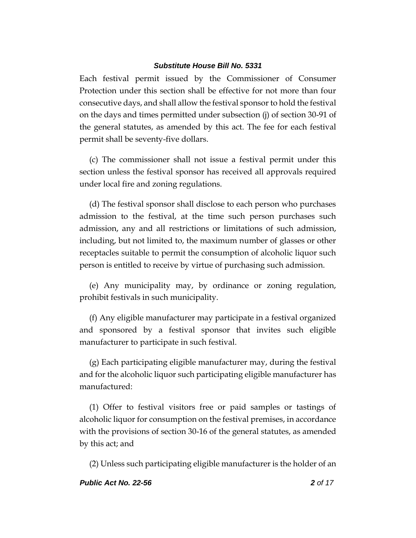Each festival permit issued by the Commissioner of Consumer Protection under this section shall be effective for not more than four consecutive days, and shall allow the festival sponsor to hold the festival on the days and times permitted under subsection (j) of section 30-91 of the general statutes, as amended by this act. The fee for each festival permit shall be seventy-five dollars.

(c) The commissioner shall not issue a festival permit under this section unless the festival sponsor has received all approvals required under local fire and zoning regulations.

(d) The festival sponsor shall disclose to each person who purchases admission to the festival, at the time such person purchases such admission, any and all restrictions or limitations of such admission, including, but not limited to, the maximum number of glasses or other receptacles suitable to permit the consumption of alcoholic liquor such person is entitled to receive by virtue of purchasing such admission.

(e) Any municipality may, by ordinance or zoning regulation, prohibit festivals in such municipality.

(f) Any eligible manufacturer may participate in a festival organized and sponsored by a festival sponsor that invites such eligible manufacturer to participate in such festival.

(g) Each participating eligible manufacturer may, during the festival and for the alcoholic liquor such participating eligible manufacturer has manufactured:

(1) Offer to festival visitors free or paid samples or tastings of alcoholic liquor for consumption on the festival premises, in accordance with the provisions of section 30-16 of the general statutes, as amended by this act; and

(2) Unless such participating eligible manufacturer is the holder of an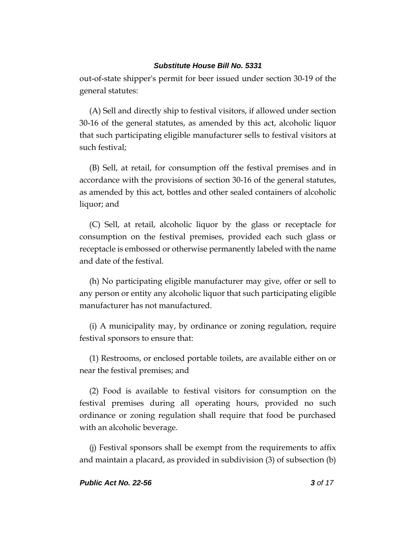out-of-state shipper's permit for beer issued under section 30-19 of the general statutes:

(A) Sell and directly ship to festival visitors, if allowed under section 30-16 of the general statutes, as amended by this act, alcoholic liquor that such participating eligible manufacturer sells to festival visitors at such festival;

(B) Sell, at retail, for consumption off the festival premises and in accordance with the provisions of section 30-16 of the general statutes, as amended by this act, bottles and other sealed containers of alcoholic liquor; and

(C) Sell, at retail, alcoholic liquor by the glass or receptacle for consumption on the festival premises, provided each such glass or receptacle is embossed or otherwise permanently labeled with the name and date of the festival.

(h) No participating eligible manufacturer may give, offer or sell to any person or entity any alcoholic liquor that such participating eligible manufacturer has not manufactured.

(i) A municipality may, by ordinance or zoning regulation, require festival sponsors to ensure that:

(1) Restrooms, or enclosed portable toilets, are available either on or near the festival premises; and

(2) Food is available to festival visitors for consumption on the festival premises during all operating hours, provided no such ordinance or zoning regulation shall require that food be purchased with an alcoholic beverage.

(j) Festival sponsors shall be exempt from the requirements to affix and maintain a placard, as provided in subdivision (3) of subsection (b)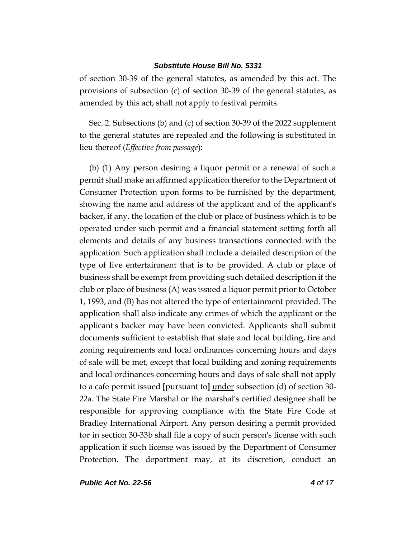of section 30-39 of the general statutes, as amended by this act. The provisions of subsection (c) of section 30-39 of the general statutes, as amended by this act, shall not apply to festival permits.

Sec. 2. Subsections (b) and (c) of section 30-39 of the 2022 supplement to the general statutes are repealed and the following is substituted in lieu thereof (*Effective from passage*):

(b) (1) Any person desiring a liquor permit or a renewal of such a permit shall make an affirmed application therefor to the Department of Consumer Protection upon forms to be furnished by the department, showing the name and address of the applicant and of the applicant's backer, if any, the location of the club or place of business which is to be operated under such permit and a financial statement setting forth all elements and details of any business transactions connected with the application. Such application shall include a detailed description of the type of live entertainment that is to be provided. A club or place of business shall be exempt from providing such detailed description if the club or place of business (A) was issued a liquor permit prior to October 1, 1993, and (B) has not altered the type of entertainment provided. The application shall also indicate any crimes of which the applicant or the applicant's backer may have been convicted. Applicants shall submit documents sufficient to establish that state and local building, fire and zoning requirements and local ordinances concerning hours and days of sale will be met, except that local building and zoning requirements and local ordinances concerning hours and days of sale shall not apply to a cafe permit issued **[**pursuant to**]** under subsection (d) of section 30- 22a. The State Fire Marshal or the marshal's certified designee shall be responsible for approving compliance with the State Fire Code at Bradley International Airport. Any person desiring a permit provided for in section 30-33b shall file a copy of such person's license with such application if such license was issued by the Department of Consumer Protection. The department may, at its discretion, conduct an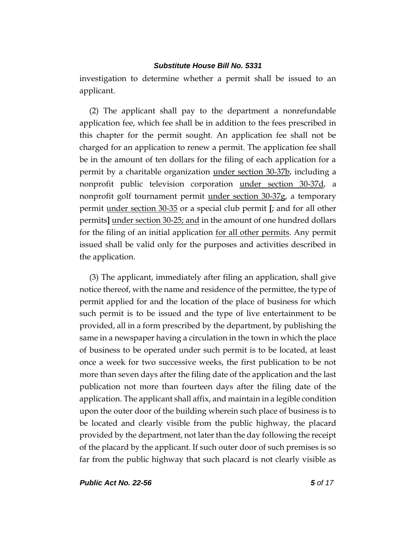investigation to determine whether a permit shall be issued to an applicant.

(2) The applicant shall pay to the department a nonrefundable application fee, which fee shall be in addition to the fees prescribed in this chapter for the permit sought. An application fee shall not be charged for an application to renew a permit. The application fee shall be in the amount of ten dollars for the filing of each application for a permit by a charitable organization under section 30-37b, including a nonprofit public television corporation under section 30-37d, a nonprofit golf tournament permit under section 30-37g, a temporary permit under section 30-35 or a special club permit **[**; and for all other permits**]** under section 30-25; and in the amount of one hundred dollars for the filing of an initial application for all other permits. Any permit issued shall be valid only for the purposes and activities described in the application.

(3) The applicant, immediately after filing an application, shall give notice thereof, with the name and residence of the permittee, the type of permit applied for and the location of the place of business for which such permit is to be issued and the type of live entertainment to be provided, all in a form prescribed by the department, by publishing the same in a newspaper having a circulation in the town in which the place of business to be operated under such permit is to be located, at least once a week for two successive weeks, the first publication to be not more than seven days after the filing date of the application and the last publication not more than fourteen days after the filing date of the application. The applicant shall affix, and maintain in a legible condition upon the outer door of the building wherein such place of business is to be located and clearly visible from the public highway, the placard provided by the department, not later than the day following the receipt of the placard by the applicant. If such outer door of such premises is so far from the public highway that such placard is not clearly visible as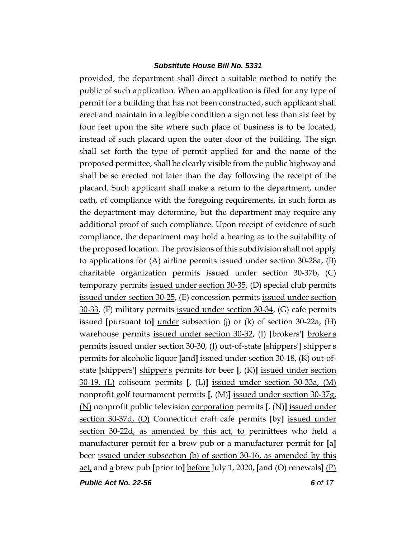provided, the department shall direct a suitable method to notify the public of such application. When an application is filed for any type of permit for a building that has not been constructed, such applicant shall erect and maintain in a legible condition a sign not less than six feet by four feet upon the site where such place of business is to be located, instead of such placard upon the outer door of the building. The sign shall set forth the type of permit applied for and the name of the proposed permittee, shall be clearly visible from the public highway and shall be so erected not later than the day following the receipt of the placard. Such applicant shall make a return to the department, under oath, of compliance with the foregoing requirements, in such form as the department may determine, but the department may require any additional proof of such compliance. Upon receipt of evidence of such compliance, the department may hold a hearing as to the suitability of the proposed location. The provisions of this subdivision shall not apply to applications for (A) airline permits issued under section 30-28a, (B) charitable organization permits issued under section 30-37b, (C) temporary permits issued under section 30-35, (D) special club permits issued under section 30-25, (E) concession permits issued under section 30-33, (F) military permits issued under section 30-34, (G) cafe permits issued **[**pursuant to**]** under subsection (j) or (k) of section 30-22a, (H) warehouse permits issued under section 30-32, (I) **[**brokers'**]** broker's permits issued under section 30-30, (J) out-of-state **[**shippers'**]** shipper's permits for alcoholic liquor **[**and**]** issued under section 30-18, (K) out-ofstate **[**shippers'**]** shipper's permits for beer **[**, (K)**]** issued under section 30-19, (L) coliseum permits **[**, (L)**]** issued under section 30-33a, (M) nonprofit golf tournament permits **[**, (M)**]** issued under section 30-37g, (N) nonprofit public television corporation permits **[**, (N)**]** issued under section 30-37d, (O) Connecticut craft cafe permits **[**by**]** issued under section 30-22d, as amended by this act, to permittees who held a manufacturer permit for a brew pub or a manufacturer permit for **[**a**]** beer issued under subsection (b) of section 30-16, as amended by this act, and a brew pub **[**prior to**]** before July 1, 2020, **[**and (O) renewals**]** (P)

*Public Act No. 22-56 6 of 17*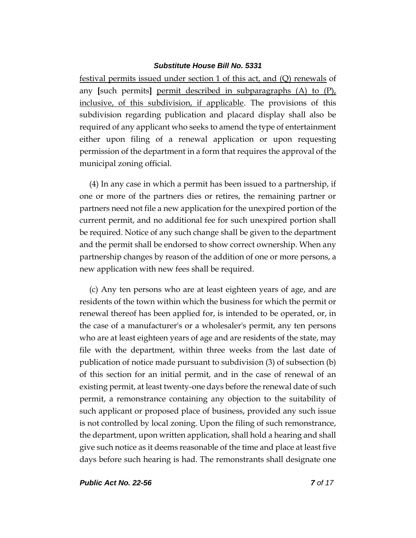festival permits issued under section 1 of this act, and (Q) renewals of any **[**such permits**]** permit described in subparagraphs (A) to (P), inclusive, of this subdivision, if applicable. The provisions of this subdivision regarding publication and placard display shall also be required of any applicant who seeks to amend the type of entertainment either upon filing of a renewal application or upon requesting permission of the department in a form that requires the approval of the municipal zoning official.

(4) In any case in which a permit has been issued to a partnership, if one or more of the partners dies or retires, the remaining partner or partners need not file a new application for the unexpired portion of the current permit, and no additional fee for such unexpired portion shall be required. Notice of any such change shall be given to the department and the permit shall be endorsed to show correct ownership. When any partnership changes by reason of the addition of one or more persons, a new application with new fees shall be required.

(c) Any ten persons who are at least eighteen years of age, and are residents of the town within which the business for which the permit or renewal thereof has been applied for, is intended to be operated, or, in the case of a manufacturer's or a wholesaler's permit, any ten persons who are at least eighteen years of age and are residents of the state, may file with the department, within three weeks from the last date of publication of notice made pursuant to subdivision (3) of subsection (b) of this section for an initial permit, and in the case of renewal of an existing permit, at least twenty-one days before the renewal date of such permit, a remonstrance containing any objection to the suitability of such applicant or proposed place of business, provided any such issue is not controlled by local zoning. Upon the filing of such remonstrance, the department, upon written application, shall hold a hearing and shall give such notice as it deems reasonable of the time and place at least five days before such hearing is had. The remonstrants shall designate one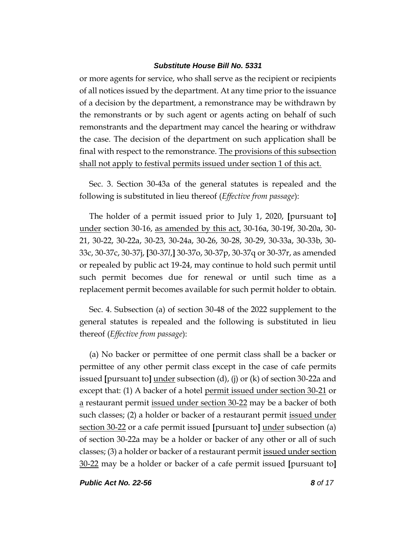or more agents for service, who shall serve as the recipient or recipients of all notices issued by the department. At any time prior to the issuance of a decision by the department, a remonstrance may be withdrawn by the remonstrants or by such agent or agents acting on behalf of such remonstrants and the department may cancel the hearing or withdraw the case. The decision of the department on such application shall be final with respect to the remonstrance. The provisions of this subsection shall not apply to festival permits issued under section 1 of this act.

Sec. 3. Section 30-43a of the general statutes is repealed and the following is substituted in lieu thereof (*Effective from passage*):

The holder of a permit issued prior to July 1, 2020, **[**pursuant to**]** under section 30-16, as amended by this act, 30-16a, 30-19f, 30-20a, 30- 21, 30-22, 30-22a, 30-23, 30-24a, 30-26, 30-28, 30-29, 30-33a, 30-33b, 30- 33c, 30-37c, 30-37j, **[**30-37*l*,**]** 30-37o, 30-37p, 30-37q or 30-37r, as amended or repealed by public act 19-24, may continue to hold such permit until such permit becomes due for renewal or until such time as a replacement permit becomes available for such permit holder to obtain.

Sec. 4. Subsection (a) of section 30-48 of the 2022 supplement to the general statutes is repealed and the following is substituted in lieu thereof (*Effective from passage*):

(a) No backer or permittee of one permit class shall be a backer or permittee of any other permit class except in the case of cafe permits issued **[**pursuant to**]** under subsection (d), (j) or (k) of section 30-22a and except that: (1) A backer of a hotel permit issued under section 30-21 or a restaurant permit issued under section 30-22 may be a backer of both such classes; (2) a holder or backer of a restaurant permit issued under section 30-22 or a cafe permit issued **[**pursuant to**]** under subsection (a) of section 30-22a may be a holder or backer of any other or all of such classes; (3) a holder or backer of a restaurant permit issued under section 30-22 may be a holder or backer of a cafe permit issued **[**pursuant to**]**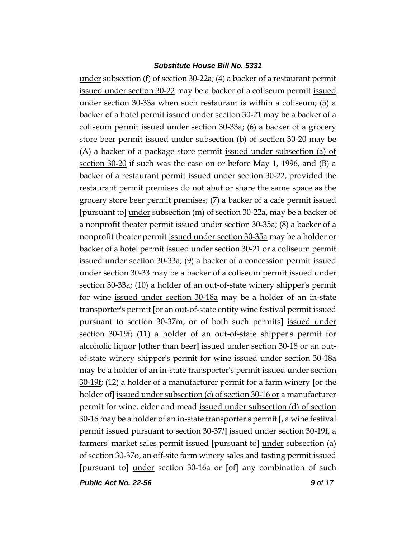under subsection (f) of section 30-22a; (4) a backer of a restaurant permit issued under section 30-22 may be a backer of a coliseum permit issued under section 30-33a when such restaurant is within a coliseum; (5) a backer of a hotel permit issued under section 30-21 may be a backer of a coliseum permit issued under section 30-33a; (6) a backer of a grocery store beer permit issued under subsection (b) of section 30-20 may be (A) a backer of a package store permit issued under subsection (a) of section 30-20 if such was the case on or before May 1, 1996, and (B) a backer of a restaurant permit issued under section 30-22, provided the restaurant permit premises do not abut or share the same space as the grocery store beer permit premises; (7) a backer of a cafe permit issued **[**pursuant to**]** under subsection (m) of section 30-22a, may be a backer of a nonprofit theater permit issued under section 30-35a; (8) a backer of a nonprofit theater permit issued under section 30-35a may be a holder or backer of a hotel permit issued under section 30-21 or a coliseum permit issued under section 30-33a; (9) a backer of a concession permit issued under section 30-33 may be a backer of a coliseum permit issued under section 30-33a; (10) a holder of an out-of-state winery shipper's permit for wine issued under section 30-18a may be a holder of an in-state transporter's permit **[**or an out-of-state entity wine festival permit issued pursuant to section 30-37m, or of both such permits**]** issued under section 30-19f; (11) a holder of an out-of-state shipper's permit for alcoholic liquor **[**other than beer**]** issued under section 30-18 or an outof-state winery shipper's permit for wine issued under section 30-18a may be a holder of an in-state transporter's permit issued under section 30-19f; (12) a holder of a manufacturer permit for a farm winery **[**or the holder of**]** issued under subsection (c) of section 30-16 or a manufacturer permit for wine, cider and mead issued under subsection (d) of section 30-16 may be a holder of an in-state transporter's permit **[**, a wine festival permit issued pursuant to section 30-37*l***]** issued under section 30-19f, a farmers' market sales permit issued **[**pursuant to**]** under subsection (a) of section 30-37o, an off-site farm winery sales and tasting permit issued **[**pursuant to**]** under section 30-16a or **[**of**]** any combination of such

*Public Act No. 22-56 9 of 17*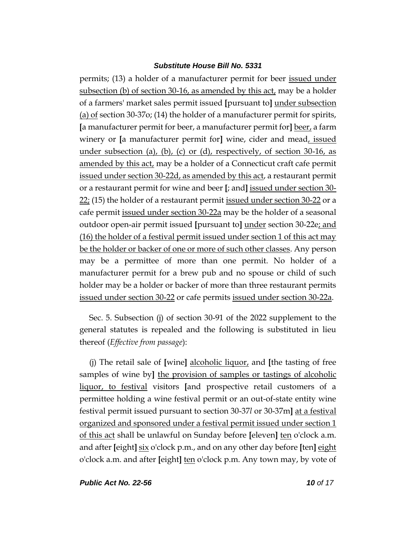permits; (13) a holder of a manufacturer permit for beer issued under subsection (b) of section 30-16, as amended by this act, may be a holder of a farmers' market sales permit issued **[**pursuant to**]** under subsection (a) of section 30-37o; (14) the holder of a manufacturer permit for spirits, **[**a manufacturer permit for beer, a manufacturer permit for**]** beer, a farm winery or **[**a manufacturer permit for**]** wine, cider and mead, issued under subsection (a), (b), (c) or (d), respectively, of section  $30\n-16$ , as amended by this act, may be a holder of a Connecticut craft cafe permit issued under section 30-22d, as amended by this act, a restaurant permit or a restaurant permit for wine and beer **[**; and**]** issued under section 30-  $22$ ; (15) the holder of a restaurant permit issued under section 30-22 or a cafe permit issued under section 30-22a may be the holder of a seasonal outdoor open-air permit issued **[**pursuant to**]** under section 30-22e; and (16) the holder of a festival permit issued under section 1 of this act may be the holder or backer of one or more of such other classes. Any person may be a permittee of more than one permit. No holder of a manufacturer permit for a brew pub and no spouse or child of such holder may be a holder or backer of more than three restaurant permits issued under section 30-22 or cafe permits issued under section 30-22a.

Sec. 5. Subsection (j) of section 30-91 of the 2022 supplement to the general statutes is repealed and the following is substituted in lieu thereof (*Effective from passage*):

(j) The retail sale of **[**wine**]** alcoholic liquor, and **[**the tasting of free samples of wine by**]** the provision of samples or tastings of alcoholic liquor, to festival visitors **[**and prospective retail customers of a permittee holding a wine festival permit or an out-of-state entity wine festival permit issued pursuant to section 30-37*l* or 30-37m**]** at a festival organized and sponsored under a festival permit issued under section 1 of this act shall be unlawful on Sunday before **[**eleven**]** ten o'clock a.m. and after **[**eight**]** six o'clock p.m., and on any other day before **[**ten**]** eight o'clock a.m. and after **[**eight**]** ten o'clock p.m. Any town may, by vote of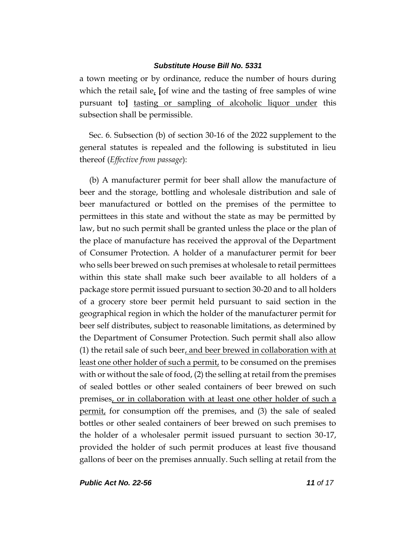a town meeting or by ordinance, reduce the number of hours during which the retail sale, **[**of wine and the tasting of free samples of wine pursuant to**]** tasting or sampling of alcoholic liquor under this subsection shall be permissible.

Sec. 6. Subsection (b) of section 30-16 of the 2022 supplement to the general statutes is repealed and the following is substituted in lieu thereof (*Effective from passage*):

(b) A manufacturer permit for beer shall allow the manufacture of beer and the storage, bottling and wholesale distribution and sale of beer manufactured or bottled on the premises of the permittee to permittees in this state and without the state as may be permitted by law, but no such permit shall be granted unless the place or the plan of the place of manufacture has received the approval of the Department of Consumer Protection. A holder of a manufacturer permit for beer who sells beer brewed on such premises at wholesale to retail permittees within this state shall make such beer available to all holders of a package store permit issued pursuant to section 30-20 and to all holders of a grocery store beer permit held pursuant to said section in the geographical region in which the holder of the manufacturer permit for beer self distributes, subject to reasonable limitations, as determined by the Department of Consumer Protection. Such permit shall also allow (1) the retail sale of such beer, and beer brewed in collaboration with at least one other holder of such a permit, to be consumed on the premises with or without the sale of food, (2) the selling at retail from the premises of sealed bottles or other sealed containers of beer brewed on such premises, or in collaboration with at least one other holder of such a permit, for consumption off the premises, and (3) the sale of sealed bottles or other sealed containers of beer brewed on such premises to the holder of a wholesaler permit issued pursuant to section 30-17, provided the holder of such permit produces at least five thousand gallons of beer on the premises annually. Such selling at retail from the

*Public Act No. 22-56 11 of 17*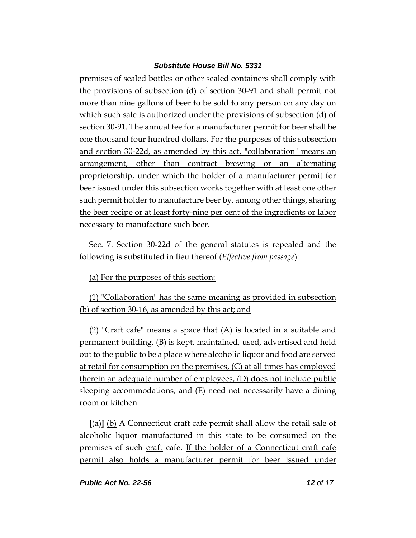premises of sealed bottles or other sealed containers shall comply with the provisions of subsection (d) of section 30-91 and shall permit not more than nine gallons of beer to be sold to any person on any day on which such sale is authorized under the provisions of subsection (d) of section 30-91. The annual fee for a manufacturer permit for beer shall be one thousand four hundred dollars. For the purposes of this subsection and section 30-22d, as amended by this act, "collaboration" means an arrangement, other than contract brewing or an alternating proprietorship, under which the holder of a manufacturer permit for beer issued under this subsection works together with at least one other such permit holder to manufacture beer by, among other things, sharing the beer recipe or at least forty-nine per cent of the ingredients or labor necessary to manufacture such beer.

Sec. 7. Section 30-22d of the general statutes is repealed and the following is substituted in lieu thereof (*Effective from passage*):

(a) For the purposes of this section:

(1) "Collaboration" has the same meaning as provided in subsection (b) of section 30-16, as amended by this act; and

(2) "Craft cafe" means a space that (A) is located in a suitable and permanent building, (B) is kept, maintained, used, advertised and held out to the public to be a place where alcoholic liquor and food are served at retail for consumption on the premises, (C) at all times has employed therein an adequate number of employees, (D) does not include public sleeping accommodations, and (E) need not necessarily have a dining room or kitchen.

**[**(a)**]** (b) A Connecticut craft cafe permit shall allow the retail sale of alcoholic liquor manufactured in this state to be consumed on the premises of such craft cafe. If the holder of a Connecticut craft cafe permit also holds a manufacturer permit for beer issued under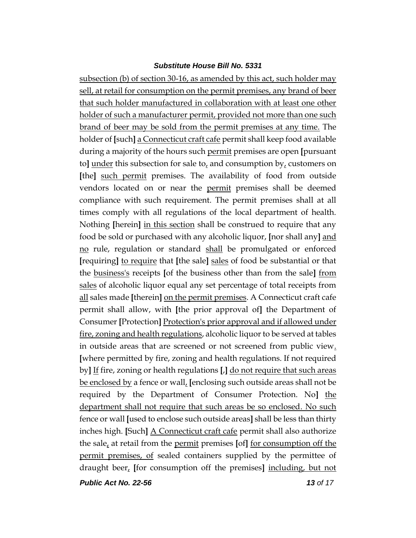subsection (b) of section 30-16, as amended by this act, such holder may sell, at retail for consumption on the permit premises, any brand of beer that such holder manufactured in collaboration with at least one other holder of such a manufacturer permit, provided not more than one such brand of beer may be sold from the permit premises at any time. The holder of **[**such**]** a Connecticut craft cafe permit shall keep food available during a majority of the hours such permit premises are open **[**pursuant to] under this subsection for sale to, and consumption  $by<sub>t</sub>$  customers on **[**the**]** such permit premises. The availability of food from outside vendors located on or near the permit premises shall be deemed compliance with such requirement. The permit premises shall at all times comply with all regulations of the local department of health. Nothing **[**herein**]** in this section shall be construed to require that any food be sold or purchased with any alcoholic liquor, **[**nor shall any**]** and no rule, regulation or standard shall be promulgated or enforced **[**requiring**]** to require that **[**the sale**]** sales of food be substantial or that the business's receipts **[**of the business other than from the sale**]** from sales of alcoholic liquor equal any set percentage of total receipts from all sales made **[**therein**]** on the permit premises. A Connecticut craft cafe permit shall allow, with **[**the prior approval of**]** the Department of Consumer **[**Protection**]** Protection's prior approval and if allowed under fire, zoning and health regulations, alcoholic liquor to be served at tables in outside areas that are screened or not screened from public view. **[**where permitted by fire, zoning and health regulations. If not required by**]** If fire, zoning or health regulations **[**,**]** do not require that such areas be enclosed by a fence or wall, **[**enclosing such outside areas shall not be required by the Department of Consumer Protection. No**]** the department shall not require that such areas be so enclosed. No such fence or wall **[**used to enclose such outside areas**]** shall be less than thirty inches high. **[**Such**]** A Connecticut craft cafe permit shall also authorize the sale, at retail from the permit premises **[**of**]** for consumption off the permit premises, of sealed containers supplied by the permittee of draught beer, **[**for consumption off the premises**]** including, but not

*Public Act No. 22-56 13 of 17*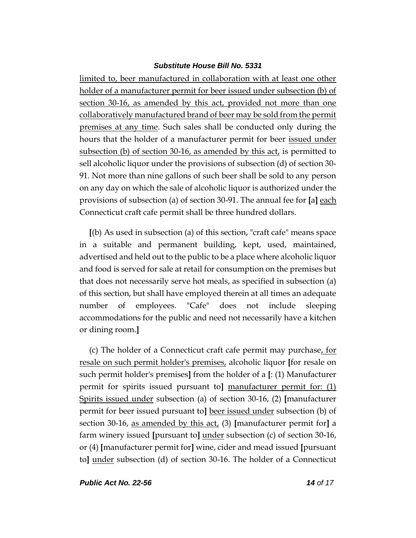limited to, beer manufactured in collaboration with at least one other holder of a manufacturer permit for beer issued under subsection (b) of section 30-16, as amended by this act, provided not more than one collaboratively manufactured brand of beer may be sold from the permit premises at any time. Such sales shall be conducted only during the hours that the holder of a manufacturer permit for beer issued under subsection (b) of section 30-16, as amended by this act, is permitted to sell alcoholic liquor under the provisions of subsection (d) of section 30- 91. Not more than nine gallons of such beer shall be sold to any person on any day on which the sale of alcoholic liquor is authorized under the provisions of subsection (a) of section 30-91. The annual fee for **[**a**]** each Connecticut craft cafe permit shall be three hundred dollars.

**[**(b) As used in subsection (a) of this section, "craft cafe" means space in a suitable and permanent building, kept, used, maintained, advertised and held out to the public to be a place where alcoholic liquor and food is served for sale at retail for consumption on the premises but that does not necessarily serve hot meals, as specified in subsection (a) of this section, but shall have employed therein at all times an adequate number of employees. "Cafe" does not include sleeping accommodations for the public and need not necessarily have a kitchen or dining room.**]**

(c) The holder of a Connecticut craft cafe permit may purchase, for resale on such permit holder's premises, alcoholic liquor **[**for resale on such permit holder's premises**]** from the holder of a **[**: (1) Manufacturer permit for spirits issued pursuant to**]** manufacturer permit for: (1) Spirits issued under subsection (a) of section 30-16, (2) **[**manufacturer permit for beer issued pursuant to**]** beer issued under subsection (b) of section 30-16, as amended by this act, (3) **[**manufacturer permit for**]** a farm winery issued **[**pursuant to**]** under subsection (c) of section 30-16, or (4) **[**manufacturer permit for**]** wine, cider and mead issued **[**pursuant to**]** under subsection (d) of section 30-16. The holder of a Connecticut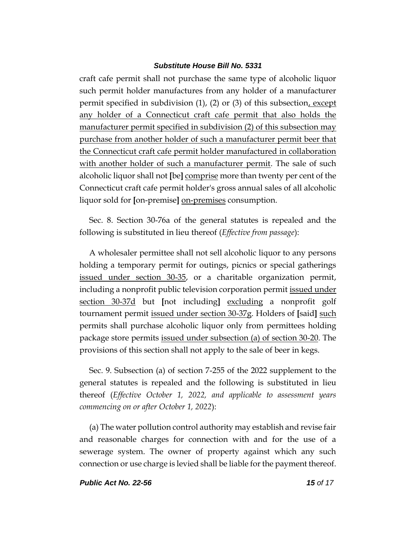craft cafe permit shall not purchase the same type of alcoholic liquor such permit holder manufactures from any holder of a manufacturer permit specified in subdivision  $(1)$ ,  $(2)$  or  $(3)$  of this subsection, except any holder of a Connecticut craft cafe permit that also holds the manufacturer permit specified in subdivision (2) of this subsection may purchase from another holder of such a manufacturer permit beer that the Connecticut craft cafe permit holder manufactured in collaboration with another holder of such a manufacturer permit. The sale of such alcoholic liquor shall not **[**be**]** comprise more than twenty per cent of the Connecticut craft cafe permit holder's gross annual sales of all alcoholic liquor sold for **[**on-premise**]** on-premises consumption.

Sec. 8. Section 30-76a of the general statutes is repealed and the following is substituted in lieu thereof (*Effective from passage*):

A wholesaler permittee shall not sell alcoholic liquor to any persons holding a temporary permit for outings, picnics or special gatherings issued under section 30-35, or a charitable organization permit, including a nonprofit public television corporation permit issued under section 30-37d but **[**not including**]** excluding a nonprofit golf tournament permit issued under section 30-37g. Holders of **[**said**]** such permits shall purchase alcoholic liquor only from permittees holding package store permits issued under subsection (a) of section 30-20. The provisions of this section shall not apply to the sale of beer in kegs.

Sec. 9. Subsection (a) of section 7-255 of the 2022 supplement to the general statutes is repealed and the following is substituted in lieu thereof (*Effective October 1, 2022, and applicable to assessment years commencing on or after October 1, 2022*):

(a) The water pollution control authority may establish and revise fair and reasonable charges for connection with and for the use of a sewerage system. The owner of property against which any such connection or use charge is levied shall be liable for the payment thereof.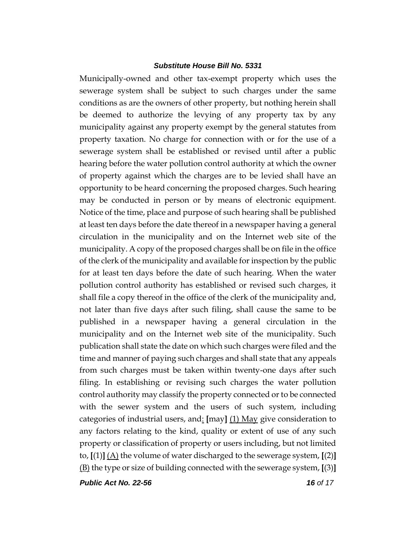Municipally-owned and other tax-exempt property which uses the sewerage system shall be subject to such charges under the same conditions as are the owners of other property, but nothing herein shall be deemed to authorize the levying of any property tax by any municipality against any property exempt by the general statutes from property taxation. No charge for connection with or for the use of a sewerage system shall be established or revised until after a public hearing before the water pollution control authority at which the owner of property against which the charges are to be levied shall have an opportunity to be heard concerning the proposed charges. Such hearing may be conducted in person or by means of electronic equipment. Notice of the time, place and purpose of such hearing shall be published at least ten days before the date thereof in a newspaper having a general circulation in the municipality and on the Internet web site of the municipality. A copy of the proposed charges shall be on file in the office of the clerk of the municipality and available for inspection by the public for at least ten days before the date of such hearing. When the water pollution control authority has established or revised such charges, it shall file a copy thereof in the office of the clerk of the municipality and, not later than five days after such filing, shall cause the same to be published in a newspaper having a general circulation in the municipality and on the Internet web site of the municipality. Such publication shall state the date on which such charges were filed and the time and manner of paying such charges and shall state that any appeals from such charges must be taken within twenty-one days after such filing. In establishing or revising such charges the water pollution control authority may classify the property connected or to be connected with the sewer system and the users of such system, including categories of industrial users, and: **[**may**]** (1) May give consideration to any factors relating to the kind, quality or extent of use of any such property or classification of property or users including, but not limited to,  $[(1)]$   $(A)$  the volume of water discharged to the sewerage system,  $[(2)]$ (B) the type or size of building connected with the sewerage system, **[**(3)**]**

*Public Act No. 22-56 16 of 17*